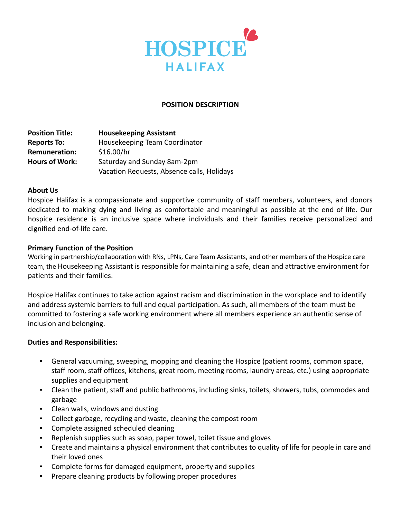

### **POSITION DESCRIPTION**

**Position Title: Housekeeping Assistant Reports To:** Housekeeping Team Coordinator **Remuneration:** \$16.00/hr **Hours of Work:** Saturday and Sunday 8am-2pm Vacation Requests, Absence calls, Holidays

### **About Us**

Hospice Halifax is a compassionate and supportive community of staff members, volunteers, and donors dedicated to making dying and living as comfortable and meaningful as possible at the end of life. Our hospice residence is an inclusive space where individuals and their families receive personalized and dignified end-of-life care.

### **Primary Function of the Position**

Working in partnership/collaboration with RNs, LPNs, Care Team Assistants, and other members of the Hospice care team, the Housekeeping Assistant is responsible for maintaining a safe, clean and attractive environment for patients and their families.

Hospice Halifax continues to take action against racism and discrimination in the workplace and to identify and address systemic barriers to full and equal participation. As such, all members of the team must be committed to fostering a safe working environment where all members experience an authentic sense of inclusion and belonging.

### **Duties and Responsibilities:**

- General vacuuming, sweeping, mopping and cleaning the Hospice (patient rooms, common space, staff room, staff offices, kitchens, great room, meeting rooms, laundry areas, etc.) using appropriate supplies and equipment
- Clean the patient, staff and public bathrooms, including sinks, toilets, showers, tubs, commodes and garbage
- Clean walls, windows and dusting
- Collect garbage, recycling and waste, cleaning the compost room
- Complete assigned scheduled cleaning
- Replenish supplies such as soap, paper towel, toilet tissue and gloves
- Create and maintains a physical environment that contributes to quality of life for people in care and their loved ones
- Complete forms for damaged equipment, property and supplies
- Prepare cleaning products by following proper procedures